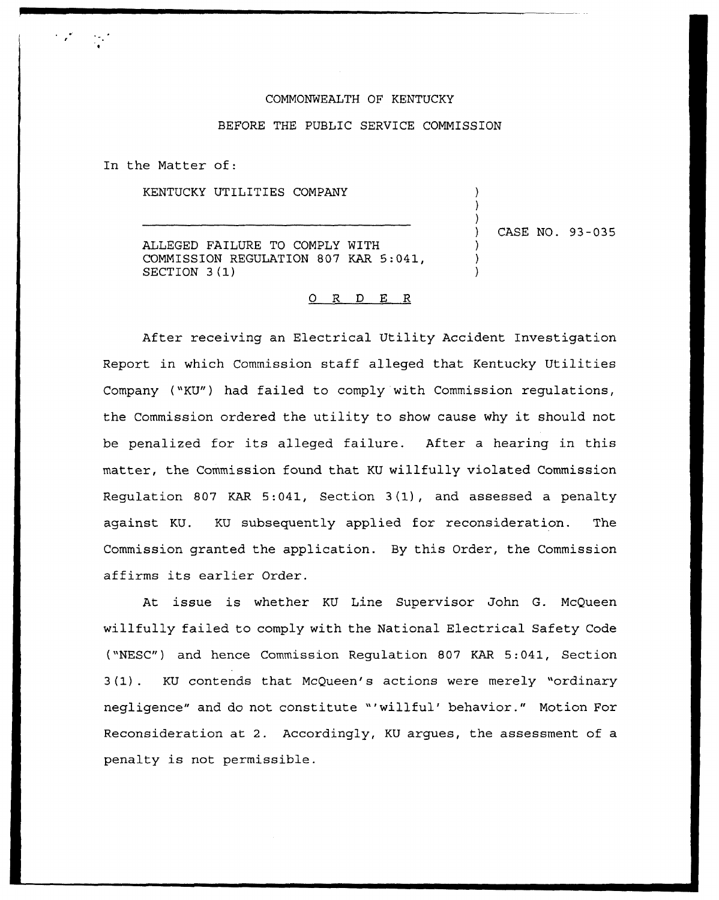## COMMONWEALTH OF KENTUCKY

## BEFORE THE PUBLIC SERUICE COMMISSION

In the Matter of:

KENTUCKY UTILITIES COMPANY

ALLEGED FAILURE TO COMPLY NITII COMMISSION REGULATION 807 KAR 5:041, SECTION 3(1)

) CASE NO. 93-035

) ) )

) ) )

## 0 R <sup>D</sup> E R

After receiving an Electrical Utility Accident Investigation Report in which Commission staff alleged that Kentucky Utilities Company ("KU") had failed to comply with Commission requlations, the Commission ordered the utility to show cause why it should not be penalized for its alleged failure. After a hearing in this matter, the Commission found that KU willfully violated Commission Regulation 807 KAR 5:041, Section 3(1), and assessed <sup>a</sup> penalty against KU. KU subsequently applied for reconsideration. The Commission granted the application. By this Order, the Commission affirms its earlier Order.

At issue is whether KU Line Supervisor John G. McQueen willfully failed to comply with the National Electrical Safety Code ("NESC") and hence Commission Regulation 807 KAR 5:041, Section 3(1). KU contends that McQueen's actions were merely "ordinary negligence" and do not constitute "'willful' behavior." Motion For Reconsideration at 2. Accordingly, KU argues, the assessment of a penalty is not permissible.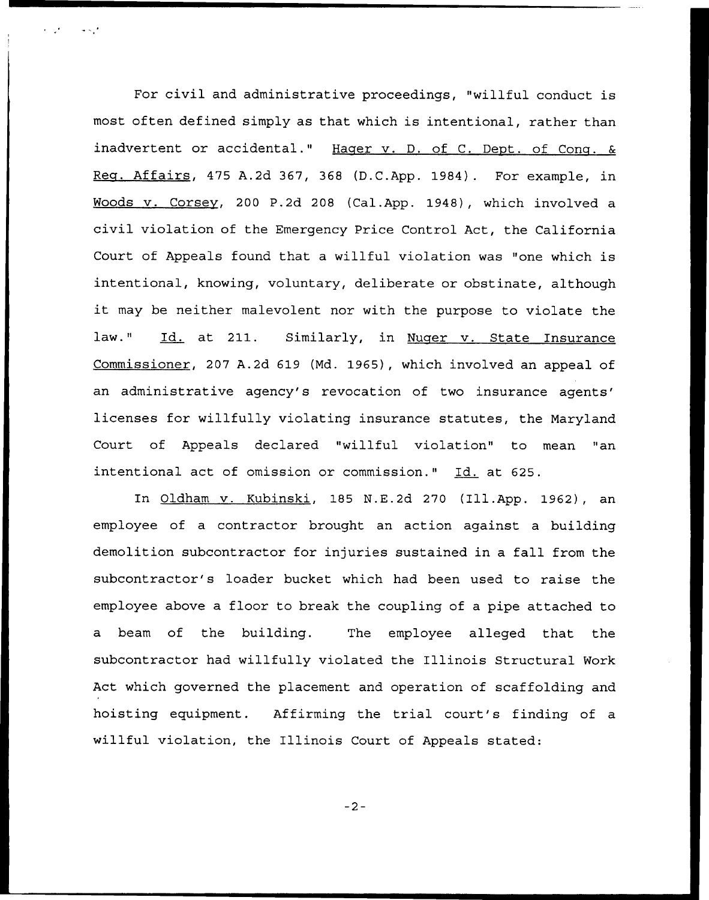For civil and administrative proceedings, "willful conduct is most often defined simply as that which is intentional, rather than inadvertent or accidental." Hager v. D. of C. Dept. of Cong.  $\&$ Req. Affairs, 475 A.2d 367, 368 (D.C.App. 1984). For example, in Woods v. Corsev, 200 P.2d 208 (Cal.App. 1948), which involved a civil violation of the Emergency Price Control Act, the California Court of Appeals found that a willful violation was "one which is intentional, knowing, voluntary, deliberate or obstinate, although it may be neither malevolent nor with the purpose to violate the law." Id. at 211. Similarly, in Nuger v. State Insurance Commissioner, 207 A.2d 619 (Md. 1965), which involved an appeal of an administrative agency's revocation of two insurance agents' licenses for willfully violating insurance statutes, the Maryland Court of Appeals declared "willful violation" to mean "an intentional act of omission or commission." Id. at 625.

In Oldham v. Kubinski, 185 N.E.2d 270 (Ill.App. 1962), an employee of a contractor brought an action against a building demolition subcontractor for injuries sustained in a fall from the subcontractor's loader bucket which had been used to raise the employee above a floor to break the coupling of a pipe attached to a beam of the building. The employee alleged that the subcontractor had willfully violated the Illinois Structural Work Act which governed the placement and operation of scaffolding and hoisting equipment. Affirming the trial court's finding of a willful violation, the Illinois Court of Appeals stated:

 $-2-$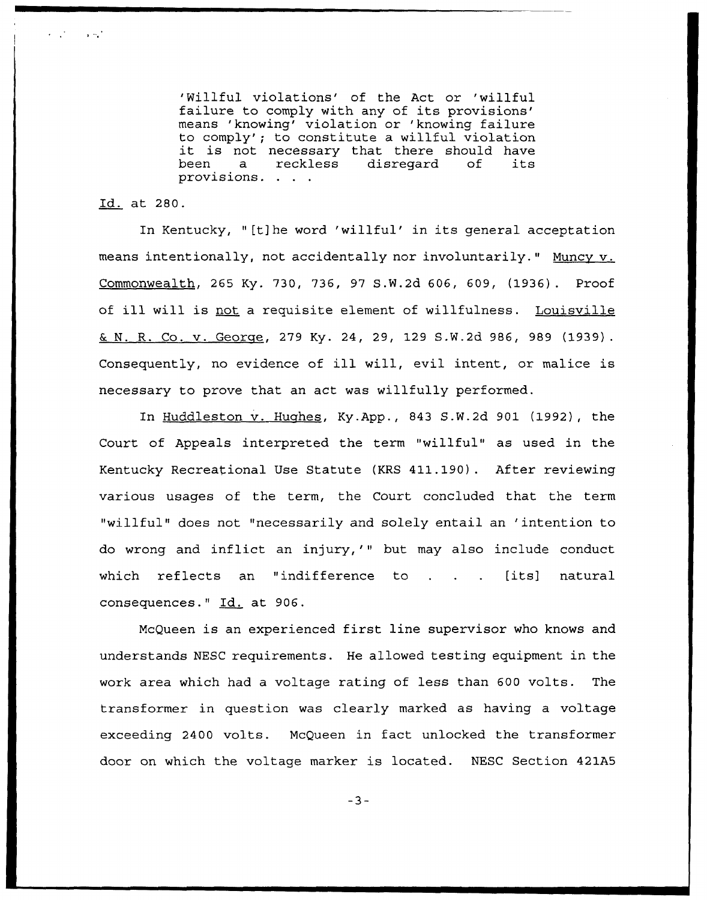'Willful violations' of the Act or 'willful<br>failure to comply with any of its provisions' means 'knowing' violation or 'knowing failure to comply'; to constitute a willful violation<br>it is not necessary that there should have<br>been a reckless disregard of its it is not necessary that there should have provisions.

Id. at 280.

 $\mathcal{L}^{\text{max}}$  and  $\mathcal{L}^{\text{max}}$ 

In Kentucky, "[t]he word 'willful' in its general acceptation means intentionally, not accidentally nor involuntarily." Muncy v. Commonwealth, 265 Ky. 730, 736, 97 S.W.2d 606, 609, (1936). Proof of ill will is not <sup>a</sup> requisite element of willfulness. Louisville G. N. R. Co. v. George, 279 Ky. 24, 29, 129 S.W.2d 986, 989 (1939). Consequently, no evidence of ill will, evil intent, or malice is necessary to prove that an act was willfully performed.

In Huddleston v. Hughes, Ky.App., 843 S.W.2d 901 (1992), the Court of Appeals interpreted the term "willful" as used in the Kentucky Recreational Use Statute (KRS 411.190). After reviewing various usages of the term, the Court concluded that the term "willful" does not "necessarily and solely entail an 'intention to do wrong and inflict an injury,'" but may also include conduct which reflects an "indifference to . . . [its] natura consequences." Id. at 906.

McQueen is an experienced first line supervisor who knows and understands NESC requirements. He allowed testing equipment in the work area which had a voltage rating of less than 600 volts. The transformer in question was clearly marked as having a voltage exceeding 2400 volts. McQueen in fact unlocked the transformer door on which the voltage marker is located. NESC Section 421A5

 $-3-$